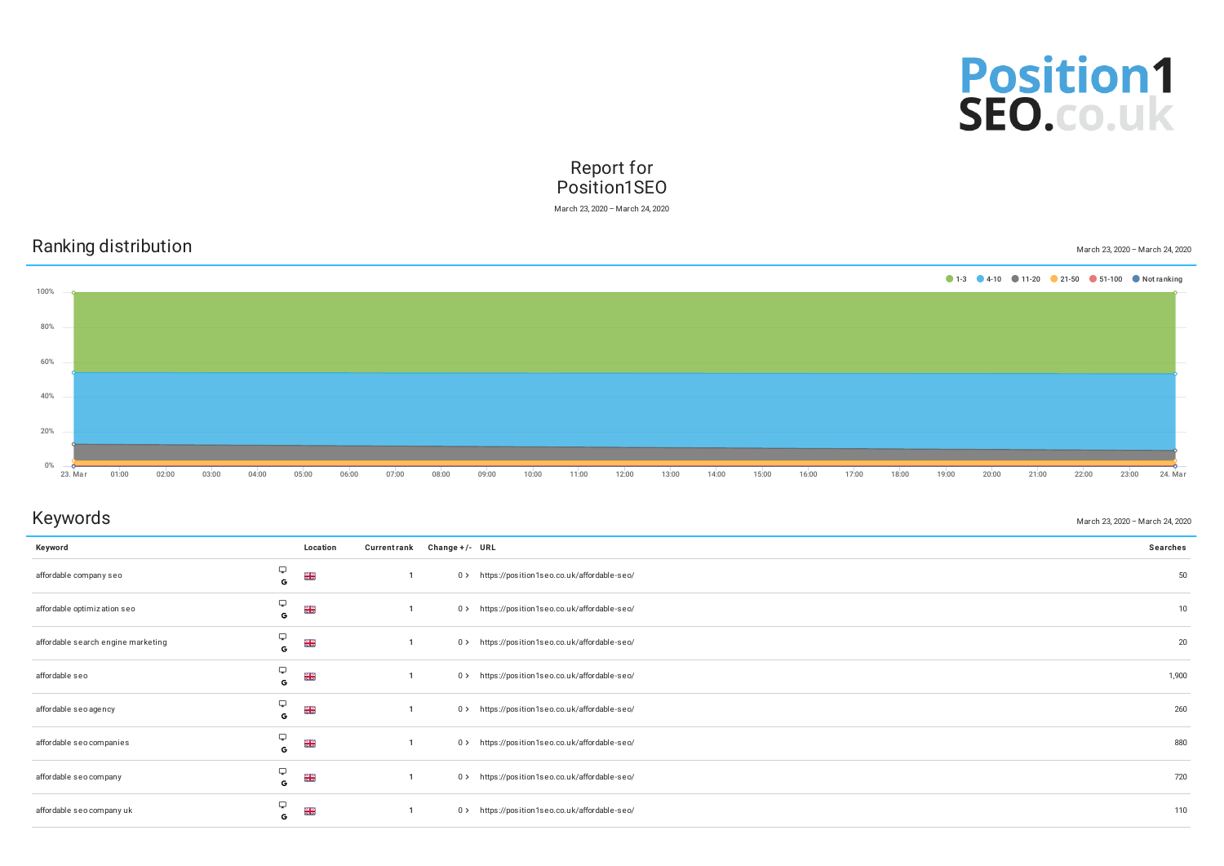

## Report for Position1SEO

March 23, 2020 – March 24, 2020

|               |       | Ranking distribution |       |       |       |       |       |       |       |       |       |       |       |       |       |       |       |       |       |       |       |       | March 23, 2020 - March 24, 2020         |         |
|---------------|-------|----------------------|-------|-------|-------|-------|-------|-------|-------|-------|-------|-------|-------|-------|-------|-------|-------|-------|-------|-------|-------|-------|-----------------------------------------|---------|
| 100%          |       |                      |       |       |       |       |       |       |       |       |       |       |       |       |       |       |       |       |       |       |       |       | 1-3 4-10 11-20 21-50 51-100 Not ranking |         |
| 80%           |       |                      |       |       |       |       |       |       |       |       |       |       |       |       |       |       |       |       |       |       |       |       |                                         |         |
|               |       |                      |       |       |       |       |       |       |       |       |       |       |       |       |       |       |       |       |       |       |       |       |                                         |         |
| 60%           |       |                      |       |       |       |       |       |       |       |       |       |       |       |       |       |       |       |       |       |       |       |       |                                         |         |
| 40%           |       |                      |       |       |       |       |       |       |       |       |       |       |       |       |       |       |       |       |       |       |       |       |                                         |         |
| 20%           |       |                      |       |       |       |       |       |       |       |       |       |       |       |       |       |       |       |       |       |       |       |       |                                         |         |
| 0%<br>23. Mar | 01:00 | 02:00                | 03:00 | 04:00 | 05:00 | 06:00 | 07:00 | 08:00 | 09:00 | 10:00 | 11:00 | 12:00 | 13:00 | 14:00 | 15:00 | 16:00 | 17:00 | 18:00 | 19:00 | 20:00 | 21:00 | 22:00 | 23:00                                   | 24. Mar |

## ${\sf Keywords}$   ${\sf \small \begin{matrix} \text{March 23, 2020}-{\sf March\ 24, 2020} \end{matrix}}$

| Keyword                            |        | Location        | Currentrank Change +/- URL |                                                | <b>Searches</b> |
|------------------------------------|--------|-----------------|----------------------------|------------------------------------------------|-----------------|
| affordable company seo             | ₽<br>G | $\frac{28}{28}$ |                            | 0> https://position1seo.co.uk/affordable-seo/  | 50              |
| affordable optimization seo        | 9<br>G | <b>NK</b><br>NK |                            | 0> https://position1seo.co.uk/affordable-seo/  | 10              |
| affordable search engine marketing | Ç<br>G | $\frac{N}{N}$   |                            | 0> https://position1seo.co.uk/affordable-seo/  | 20              |
| affordable seo                     | 9<br>G | $\frac{28}{28}$ |                            | 0 > https://position1seo.co.uk/affordable-seo/ | 1,900           |
| affordable seo agency              | 9<br>G | $\frac{28}{28}$ |                            | 0> https://position1seo.co.uk/affordable-seo/  | 260             |
| affordable seo companies           | 9<br>G | $\frac{28}{28}$ |                            | 0 > https://position1seo.co.uk/affordable-seo/ | 880             |
| affordable seo company             | 9<br>G | $\frac{28}{28}$ |                            | 0> https://position1seo.co.uk/affordable-seo/  | 720             |
| affordable seo company uk          | Ç<br>G | $\frac{28}{28}$ |                            | 0 > https://position1seo.co.uk/affordable-seo/ | 110             |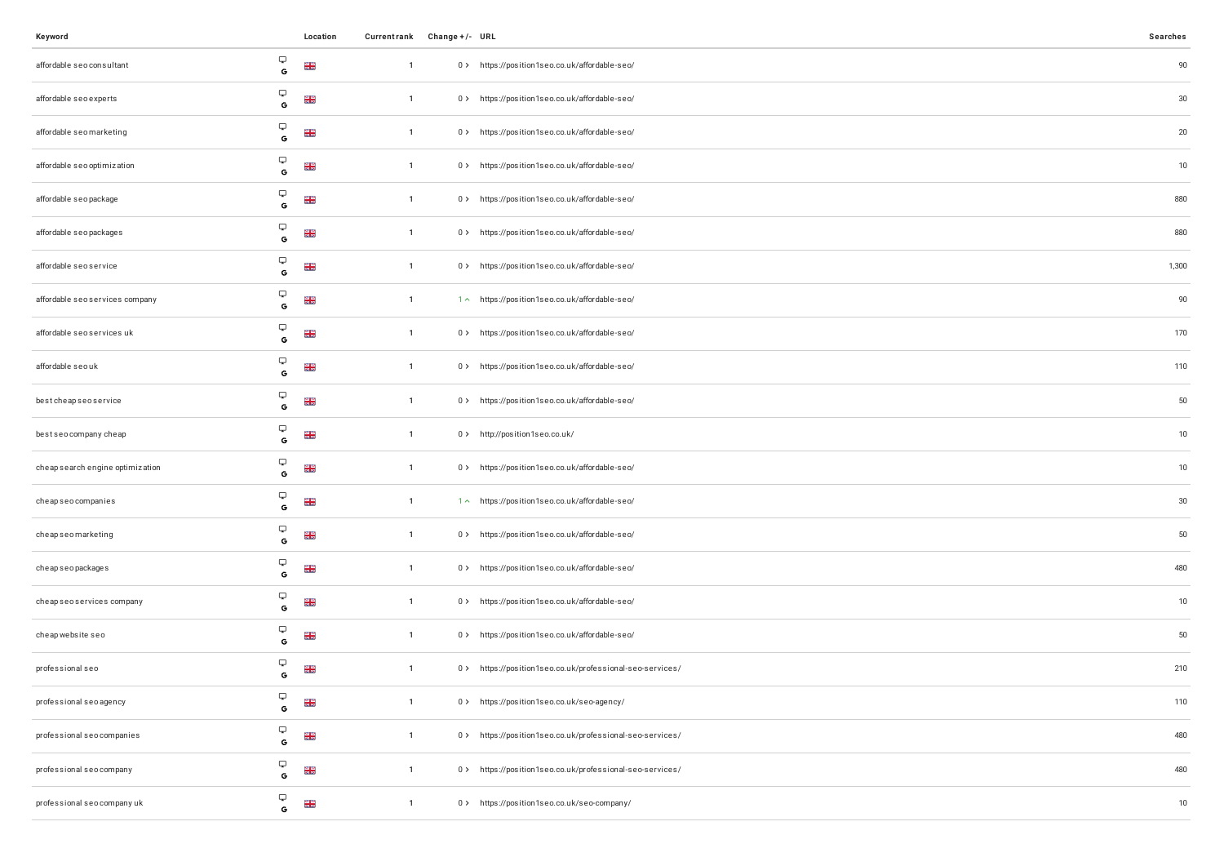| Keyword                                            |   | Location        |                | Currentrank Change +/- URL |                                                          | Searches |
|----------------------------------------------------|---|-----------------|----------------|----------------------------|----------------------------------------------------------|----------|
| Ç<br>affordable seo consultant<br>$\mathbb{G}$     |   | $\frac{N}{N}$   | $\overline{1}$ |                            | 0> https://position1seo.co.uk/affordable-seo/            | $90\,$   |
| Ç<br>affordable seo experts<br>$\mathbf G$         |   | $\frac{N}{N}$   | $\overline{1}$ |                            | 0 > https://position1seo.co.uk/affordable-seo/           | 30       |
| Ç<br>affordable seomarketing<br>G                  |   | $\frac{N}{N}$   | $\overline{1}$ |                            | 0 > https://position1seo.co.uk/affordable-seo/           | $20\,$   |
| Ç<br>affordable seo optimization<br>$\mathbf G$    |   | ងដ<br>គន        | $\overline{1}$ |                            | 0 > https://position1seo.co.uk/affordable-seo/           | 10       |
| Ç<br>affordable seo package<br>G                   |   | $\frac{N}{N}$   | $\mathbf{1}$   |                            | 0> https://position1seo.co.uk/affordable-seo/            | 880      |
| Ç<br>affordable seo packages<br>$\mathbf G$        |   | <b>NK</b><br>NK | $\overline{1}$ |                            | 0 > https://position1seo.co.uk/affordable-seo/           | 880      |
| Ç<br>affordable seoservice<br>G                    |   | <b>NK</b><br>NK | $\overline{1}$ |                            | 0> https://position1seo.co.uk/affordable-seo/            | 1,300    |
| Ç<br>affordable seoservices company<br>$\mathbf G$ |   | <b>NN</b><br>NN | $\overline{1}$ |                            | 1 ~ https://position1seo.co.uk/affordable-seo/           | 90       |
| Ç<br>affordable seo services uk<br>$\mathsf{G}$    |   | <b>NK</b><br>NK | $\mathbf{1}$   |                            | 0> https://position1seo.co.uk/affordable-seo/            | 170      |
| Ç<br>affordable seouk<br>$\mathbf G$               |   | <b>NR</b>       | $\mathbf{1}$   |                            | 0 > https://position1seo.co.uk/affordable-seo/           | 110      |
| Ç<br>bestcheapseoservice<br>G                      |   | <b>NN</b><br>NN | $\overline{1}$ |                            | 0> https://position1seo.co.uk/affordable-seo/            | $50\,$   |
| Ç<br>best seo company cheap<br>$\mathbf G$         |   | <b>NK</b><br>NK | $\mathbf{1}$   |                            | 0> http://position1seo.co.uk/                            | 10       |
| Ç<br>cheap search engine optimization<br>G         |   | <b>NR</b>       | $\overline{1}$ |                            | 0> https://position1seo.co.uk/affordable-seo/            | 10       |
| Ç<br>cheapseocompanies<br>$\mathbf G$              |   | $\frac{N}{N}$   | $\overline{1}$ |                            | 1 ~ https://position1seo.co.uk/affordable-seo/           | 30       |
| Ç<br>cheapseomarketing<br>G                        |   | <b>NK</b><br>NK | $\overline{1}$ |                            | 0> https://position1seo.co.uk/affordable-seo/            | 50       |
| Ç<br>cheap seo packages<br>$\mathbf G$             |   | $\frac{N}{N}$   | $\mathbf{1}$   |                            | 0 > https://position1seo.co.uk/affordable-seo/           | 480      |
| Ç<br>cheap seo services company<br>G               |   | $\frac{N}{N}$   | $\mathbf{1}$   |                            | 0> https://position1seo.co.uk/affordable-seo/            | 10       |
| Ç<br>cheap website seo<br>$\mathbf G$              |   | $\frac{N}{N}$   | $\mathbf{1}$   |                            | 0> https://position1seo.co.uk/affordable-seo/            | 50       |
| Ç<br>professional seo                              | G | <b>NK</b>       | $\overline{1}$ |                            | 0> https://position1seo.co.uk/professional-seo-services/ | 210      |
| Ç<br>professional seo agency<br>$\mathbf G$        |   | $\frac{N}{N}$   | $\overline{1}$ |                            | 0 > https://position1seo.co.uk/seo-agency/               | 110      |
| Ç<br>professional seo companies<br>G               |   | <b>NR</b><br>NR | $\overline{1}$ |                            | 0> https://position1seo.co.uk/professional-seo-services/ | 480      |
| Ç<br>professional seo company<br>$\mathbf G$       |   | $\frac{N}{N}$   | $\overline{1}$ |                            | 0> https://position1seo.co.uk/professional-seo-services/ | 480      |
| Ç<br>professional seo company uk<br>G              |   | <b>NR</b>       | $\mathbf{1}$   |                            | 0 > https://position1seo.co.uk/seo-company/              | 10       |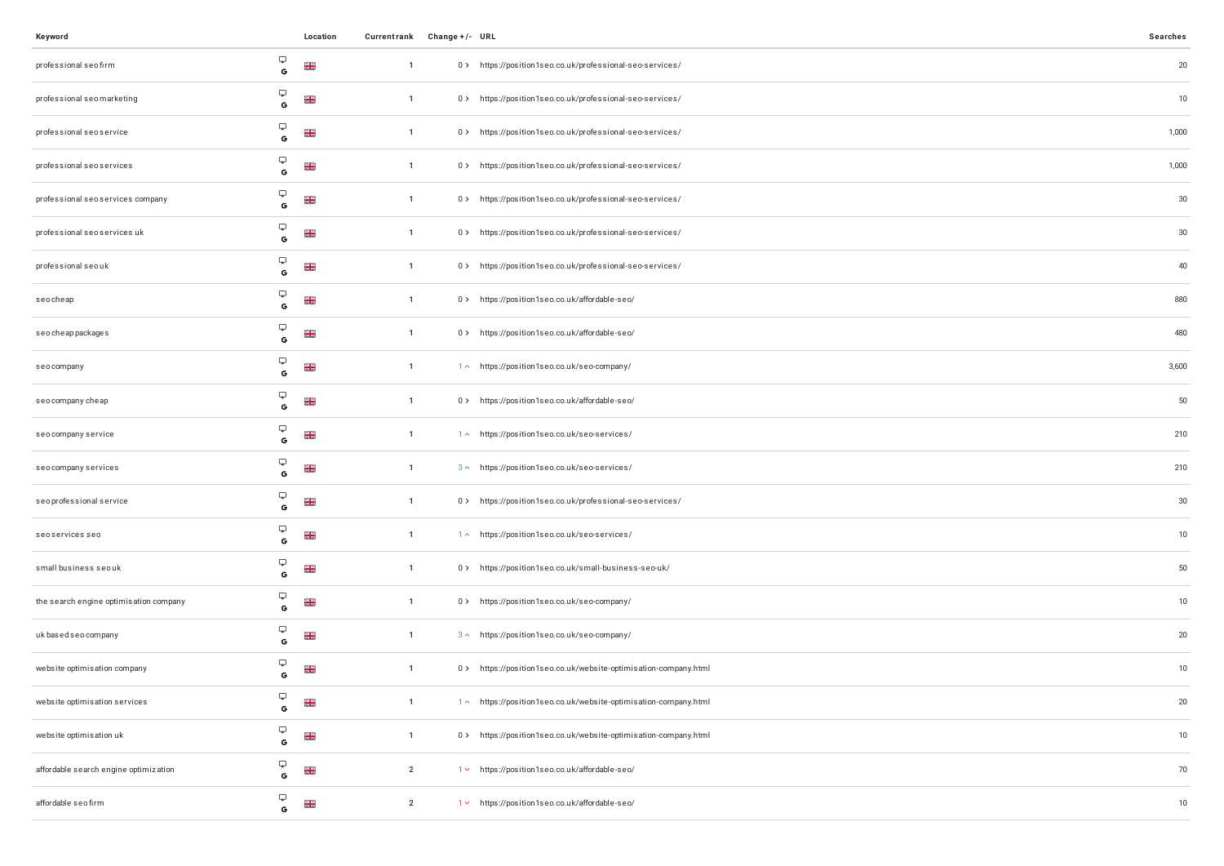| Keyword                                |                                                               | Location        | Currentrank Change +/- URL |                                                                  | Searches |
|----------------------------------------|---------------------------------------------------------------|-----------------|----------------------------|------------------------------------------------------------------|----------|
| professional seo firm                  | Ç<br>$\mathbb{G}$                                             | <b>NK</b><br>NK | $\overline{1}$             | 0> https://position1seo.co.uk/professional-seo-services/         | 20       |
| professional seo marketing             | Ç<br>$\mathsf{G}$                                             | $\frac{N}{N}$   | $\overline{1}$             | 0> https://position1seo.co.uk/professional-seo-services/         | 10       |
| professional seo service               | $\hbox{\large \ensuremath{\bigtriangledown}}$<br>$\mathsf{G}$ | <b>NK</b><br>NK | $\overline{1}$             | 0> https://position1seo.co.uk/professional-seo-services/         | 1,000    |
| professional seo services              | پ<br>G                                                        | <b>NR</b>       | $\overline{1}$             | 0> https://position1seo.co.uk/professional-seo-services/         | 1,000    |
| professional seo services company      | Ç<br>$\mathbb{G}$                                             | <b>NK</b><br>NK | $\mathbf{1}$               | 0> https://position1seo.co.uk/professional-seo-services/         | 30       |
| professional seo services uk           | Ç<br>$\mathbf G$                                              | <b>NK</b><br>NK | $\overline{1}$             | 0> https://position1seo.co.uk/professional-seo-services/         | $30\,$   |
| professional seo uk                    | $\hbox{\large \bf \Box}$<br>G                                 | <b>NR</b>       | $\overline{1}$             | 0> https://position1seo.co.uk/professional-seo-services/         | 40       |
| seocheap                               | $\hbox{\large \bf \Box}$<br>$\mathbf G$                       | $\frac{N}{N}$   | $\overline{1}$             | 0 > https://position1seo.co.uk/affordable-seo/                   | 880      |
| seo cheap packages                     | $\hbox{\large \bf \Box}$<br>$\mathbf G$                       | <b>NK</b><br>NK | $\overline{1}$             | 0 > https://position1seo.co.uk/affordable-seo/                   | 480      |
| seocompany                             | Q<br>$\mathbf G$                                              | $\frac{N}{N}$   | $\overline{1}$             | 1 ~ https://position1seo.co.uk/seo-company/                      | 3,600    |
| seo company cheap                      | Q<br>$\mathbf G$                                              | <b>NK</b><br>NK | $\overline{1}$             | 0 > https://position1seo.co.uk/affordable-seo/                   | 50       |
| seo company service                    | Ç<br>$\mathbf{G}$                                             | $\frac{N}{N}$   | $\overline{1}$             | 1^ https://position1seo.co.uk/seo-services/                      | 210      |
| seo company services                   | Ç<br>G                                                        | <b>NR</b>       | $\overline{1}$             | 3 ^ https://position1seo.co.uk/seo-services/                     | 210      |
| seoprofessional service                | $\hbox{\large \bf \Box}$<br>$\mathbf G$                       | $\frac{N}{N}$   | $\overline{1}$             | 0> https://position1seo.co.uk/professional-seo-services/         | 30       |
| seoservices seo                        | $\hbox{\large \bf \Box}$<br>G                                 | <b>NR</b>       | $\overline{1}$             | 1^ https://position1seo.co.uk/seo-services/                      | 10       |
| small business seouk                   | $\hbox{\large \ensuremath{\bigtriangledown}}$<br>$\mathbf G$  | <b>NK</b><br>NK | $\overline{1}$             | 0> https://position1seo.co.uk/small-business-seo-uk/             | $50\,$   |
| the search engine optimisation company | $\hbox{\large \bf \Box}$<br>G                                 | $\frac{N}{N}$   | $\overline{1}$             | 0> https://position1seo.co.uk/seo-company/                       | 10       |
| uk based seo company                   | Ç<br>$\mathbf G$                                              | $\frac{N}{N}$   | $\overline{1}$             | 3 ~ https://position1seo.co.uk/seo-company/                      | 20       |
| website optimisation company           | Ç<br>G                                                        | <b>NK</b>       | $\overline{1}$             | 0> https://position1seo.co.uk/website-optimisation-company.html  | 10       |
| website optimisation services          | Ç<br>$\mathbf G$                                              | <b>NR</b>       | $\overline{1}$             | 1 ~ https://position1seo.co.uk/website-optimisation-company.html | 20       |
| website optimisation uk                | Ç<br>G                                                        | <b>NK</b>       | $\mathbf{1}$               | 0 > https://position1seo.co.uk/website-optimisation-company.html | 10       |
| affordable search engine optimization  | $\hbox{\large \bf \Box}$<br>G                                 | <b>NK</b>       | $\overline{2}$             | 1 v https://position1seo.co.uk/affordable-seo/                   | 70       |
| affordable seo firm                    | Ç<br>G                                                        | <b>NR</b>       | $\overline{2}$             | 1 v https://position1seo.co.uk/affordable-seo/                   | 10       |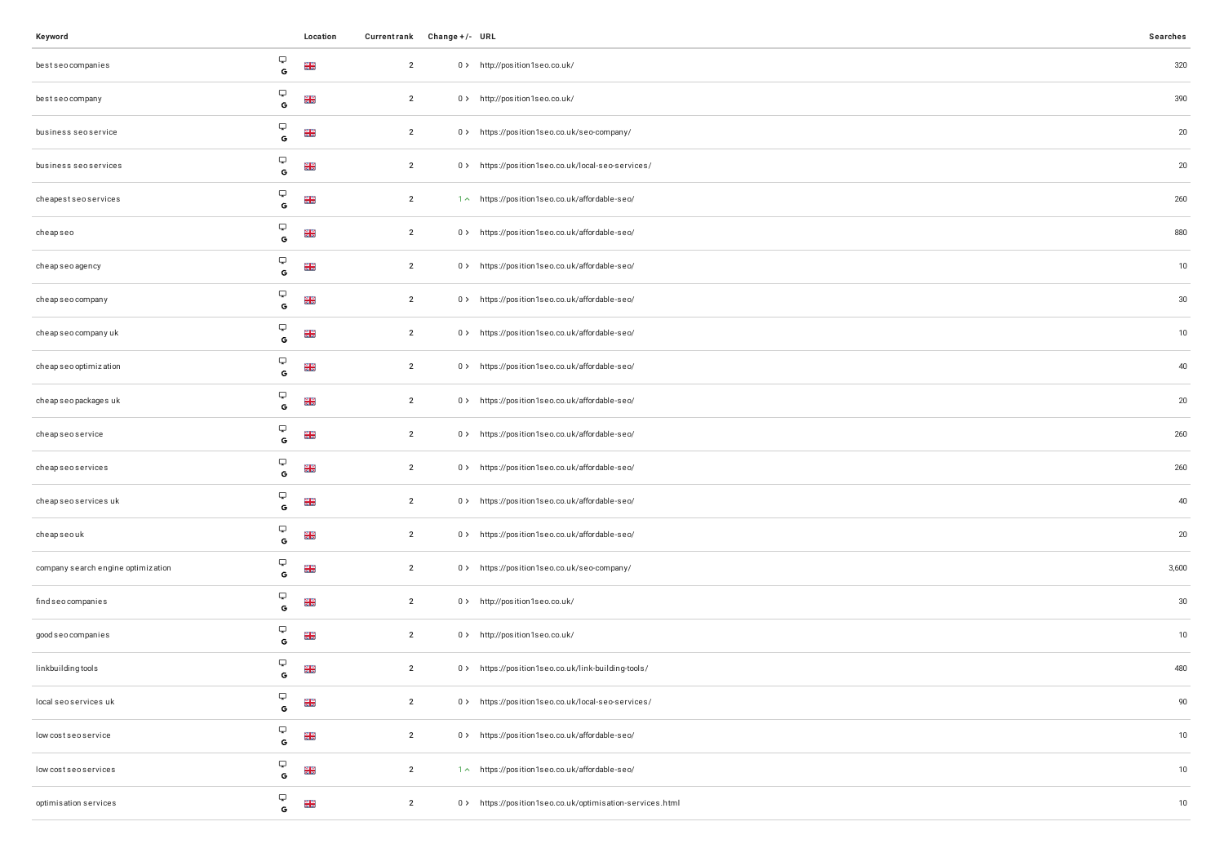| Keyword                            |                                          | Location        | Currentrank Change +/- URL |                                                          | Searches |
|------------------------------------|------------------------------------------|-----------------|----------------------------|----------------------------------------------------------|----------|
| bestseocompanies                   | Ç<br>G                                   | <b>NK</b><br>NK | $\overline{2}$             | 0> http://position1seo.co.uk/                            | 320      |
| bestseocompany                     | Ç<br>$\mathsf{G}$                        | <b>NK</b>       | $\overline{2}$             | 0> http://position1seo.co.uk/                            | 390      |
| business seoservice                | Ç<br>$\mathsf{G}$                        | <b>NK</b><br>NK | $\overline{2}$             | 0> https://position1seo.co.uk/seo-company/               | $20\,$   |
| business seoservices               | Ç<br>$\mathbf G$                         | $\frac{2}{5}$   | $\overline{2}$             | 0> https://position1seo.co.uk/local-seo-services/        | $20\,$   |
| cheapestseoservices                | $\hbox{\large \bf \Box}$<br>$\mathbb{G}$ | $\frac{2}{5}$   | $\overline{2}$             | 1^ https://position1seo.co.uk/affordable-seo/            | 260      |
| cheapseo                           | Ç<br>$\mathbf G$                         | <b>NK</b><br>NK | $\overline{2}$             | 0 > https://position1seo.co.uk/affordable-seo/           | 880      |
| cheapseoagency                     | $\hbox{\large \bf \Box}$<br>$\mathbf G$  | NK<br>AR        | $\overline{2}$             | 0> https://position1seo.co.uk/affordable-seo/            | $10$     |
| cheapseo company                   | $\hbox{\large \bf \Box}$<br>$\mathbf G$  | <b>NK</b><br>NK | $\overline{2}$             | 0 > https://position1seo.co.uk/affordable-seo/           | 30       |
| cheap seo company uk               | Ç<br>G                                   | <b>NK</b><br>NK | $\overline{2}$             | 0> https://position1seo.co.uk/affordable-seo/            | $10\,$   |
| cheap seo optimization             | پ<br>G                                   | NK<br>AR        | $\overline{2}$             | 0 > https://position1seo.co.uk/affordable-seo/           | $40\,$   |
| cheap seo packages uk              | Ç<br>G                                   | <b>NK</b>       | $\overline{2}$             | 0> https://position1seo.co.uk/affordable-seo/            | $20\,$   |
| cheapseoservice                    | Ç<br>$\mathbf G$                         | $\frac{2}{5}$   | $\overline{2}$             | 0> https://position1seo.co.uk/affordable-seo/            | 260      |
| cheapseoservices                   | $\hbox{\large \bf \Box}$<br>$\mathsf G$  | <b>NR</b><br>NR | $\overline{2}$             | 0> https://position1seo.co.uk/affordable-seo/            | 260      |
| cheap seo services uk              | Ç<br>$\mathbf G$                         | <b>NR</b><br>NR | $\overline{2}$             | 0> https://position1seo.co.uk/affordable-seo/            | 40       |
| cheapseouk                         | $\hbox{\large \bf \Box}$<br>G            | $\frac{2}{5}$   | $\overline{2}$             | 0> https://position1seo.co.uk/affordable-seo/            | $20\,$   |
| company search engine optimization | Ç<br>$\mathbf{G}$                        | <b>NK</b><br>NK | $\overline{2}$             | 0> https://position1seo.co.uk/seo-company/               | 3,600    |
| findseocompanies                   | Ç<br>G                                   | <b>NR</b><br>NR | $\overline{2}$             | 0> http://position1seo.co.uk/                            | $30\,$   |
| good seo companies                 | Ç<br>$\mathbf G$                         | $\frac{2}{5}$   | $\overline{2}$             | 0 > http://position1seo.co.uk/                           | $10$     |
| linkbuilding tools                 | Ç<br>G                                   | $\frac{N}{N}$   | $\overline{2}$             | 0> https://position1seo.co.uk/link-building-tools/       | 480      |
| local seo services uk              | Ç<br>$\mathbf G$                         | <b>NR</b><br>NR | $\overline{2}$             | 0> https://position1seo.co.uk/local-seo-services/        | 90       |
| low cost seo service               | Ç<br>G                                   | <b>NK</b><br>NK | $\overline{2}$             | 0> https://position1seo.co.uk/affordable-seo/            | 10       |
| low cost seo services              | Ç<br>$\mathbf G$                         | <b>NK</b><br>NK | $\overline{2}$             | 1 ~ https://position1seo.co.uk/affordable-seo/           | $10$     |
| optimisation services              | Ç<br>$\mathsf G$                         | <b>NK</b>       | $\overline{2}$             | 0> https://position1seo.co.uk/optimisation-services.html | 10       |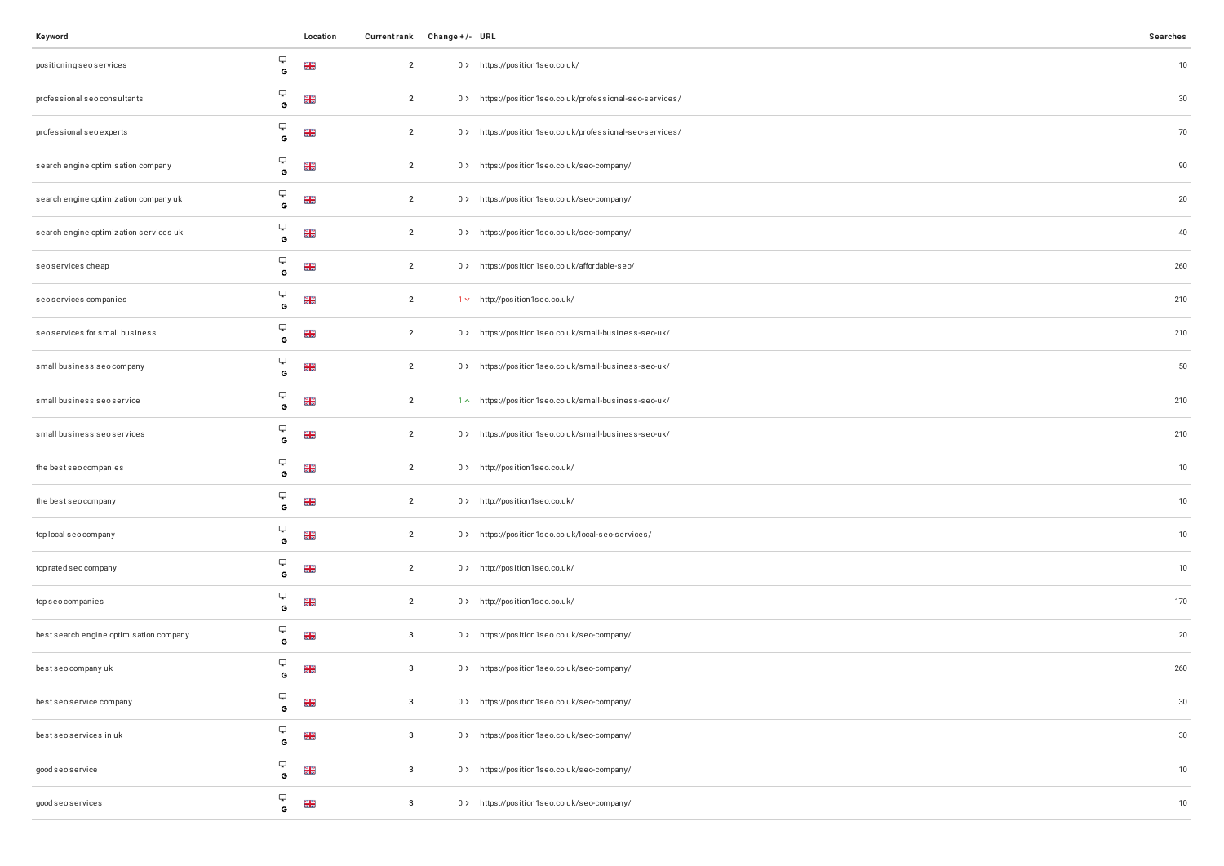| Keyword                                 |                               | Location          | Currentrank Change +/- URL |                                                          | Searches |
|-----------------------------------------|-------------------------------|-------------------|----------------------------|----------------------------------------------------------|----------|
| positioning seo services                | Ç<br>$\mathbb{G}$             | $\frac{N}{N}$     | $\overline{2}$             | 0> https://position1seo.co.uk/                           | 10       |
| professional seo consultants            | Ç<br>$\mathsf{G}$             | <b>NK</b><br>NK   | $\overline{2}$             | 0> https://position1seo.co.uk/professional-seo-services/ | $30\,$   |
| professional seo experts                | Ç<br>G                        | <b>NR</b>         | $\overline{2}$             | 0> https://position1seo.co.uk/professional-seo-services/ | 70       |
| search engine optimisation company      | Ç<br>G                        | <b>NK</b><br>NK   | $\overline{2}$             | 0 > https://position1seo.co.uk/seo-company/              | 90       |
| search engine optimization company uk   | Ç<br>G                        | <b>N R</b><br>N R | $\overline{2}$             | 0> https://position1seo.co.uk/seo-company/               | 20       |
| search engine optimization services uk  | Ç<br>$\mathbf G$              | $\frac{N}{N}$     | $\overline{2}$             | 0 > https://position1seo.co.uk/seo-company/              | 40       |
| seoservices cheap                       | Ç<br>G                        | $\frac{N}{N}$     | $\overline{2}$             | 0 > https://position1seo.co.uk/affordable-seo/           | 260      |
| seoservices companies                   | Ç<br>$\mathbf{G}$             | <b>NK</b><br>NK   | $\overline{2}$             | 1 v http://position1seo.co.uk/                           | 210      |
| seoservices for small business          | Ç<br>G                        | $\frac{N}{N}$     | $\overline{2}$             | 0> https://position1seo.co.uk/small-business-seo-uk/     | 210      |
| small business seocompany               | Ç<br>$\mathbf{G}$             | $\frac{N}{N}$     | $\overline{2}$             | 0> https://position1seo.co.uk/small-business-seo-uk/     | 50       |
| small business seoservice               | Ç<br>G                        | $\frac{N}{N}$     | $\overline{2}$             | 1^ https://position1seo.co.uk/small-business-seo-uk/     | 210      |
| small business seoservices              | Ç<br>$\mathbf G$              | <b>NK</b><br>NK   | $\overline{2}$             | 0> https://position1seo.co.uk/small-business-seo-uk/     | 210      |
| the best seo companies                  | Ç<br>G                        | <b>NK</b><br>NK   | $\overline{2}$             | 0> http://position1seo.co.uk/                            | 10       |
| the best seo company                    | Ç<br>$\mathbf G$              | <b>NN</b><br>NN   | $\overline{2}$             | 0 > http://position1seo.co.uk/                           | 10       |
| top local seo company                   | $\hbox{\large \bf \Box}$<br>G | <b>NK</b><br>NK   | $\overline{2}$             | 0> https://position1seo.co.uk/local-seo-services/        | 10       |
| top rated seo company                   | Ç<br>$\mathbf G$              | <b>NR</b>         | $\overline{2}$             | 0> http://position1seo.co.uk/                            | 10       |
| top seo companies                       | Ç<br>G                        | $\frac{N}{N}$     | $\overline{2}$             | 0 > http://position1seo.co.uk/                           | 170      |
| best search engine optimisation company | Ç<br>$\mathbf G$              | $\frac{28}{28}$   | $\overline{\mathbf{3}}$    | 0> https://position1seo.co.uk/seo-company/               | 20       |
| bestseocompanyuk                        | Ç<br>G                        | <b>NK</b>         | $\mathbf{3}$               | 0 > https://position1seo.co.uk/seo-company/              | 260      |
| best seo service company                | Ç<br>$\mathbb{G}$             | N<br>AR           | $\mathbf{3}$               | 0 > https://position1seo.co.uk/seo-company/              | 30       |
| best seo services in uk                 | Ç<br>$\mathsf G$              | <b>NK</b><br>NK   | $\mathbf{3}$               | 0> https://position1seo.co.uk/seo-company/               | $30\,$   |
| good seo service                        | Ç<br>$\mathbf G$              | <b>NR</b>         | $\mathbf{3}$               | 0 > https://position1seo.co.uk/seo-company/              | 10       |
| good seo services                       | Ç<br>$\mathbb{G}$             | <b>NR</b>         | $\overline{\mathbf{3}}$    | 0 > https://position1seo.co.uk/seo-company/              | 10       |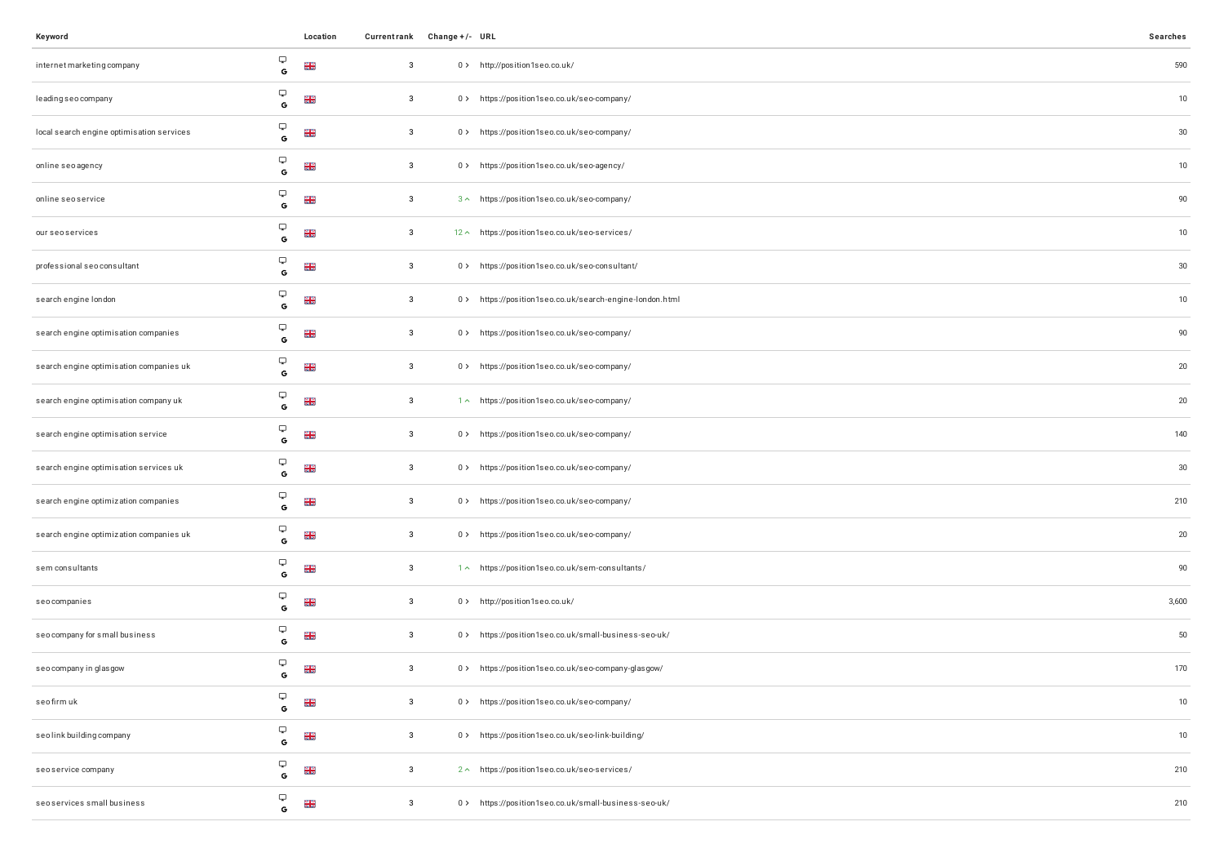| Keyword                                   |                                                    | Location             |              | Currentrank Change +/- URL |                                                         | Searches |
|-------------------------------------------|----------------------------------------------------|----------------------|--------------|----------------------------|---------------------------------------------------------|----------|
| internet marketing company                | Ç<br>G                                             | <b>NK</b>            | $\mathbf{3}$ |                            | 0> http://position1seo.co.uk/                           | 590      |
| leading seo company                       | $\hbox{\large \bf \Box}$<br>G                      | $\frac{2}{5}$        | 3            |                            | 0 > https://position1seo.co.uk/seo-company/             | $10$     |
| local search engine optimisation services | Ç<br>G                                             | $\frac{2}{5}$        | $\mathbf{3}$ |                            | 0 > https://position1seo.co.uk/seo-company/             | 30       |
| online seo agency                         | Ç<br>$\mathbf G$                                   | $\frac{N}{N}$        | $\mathbf{3}$ |                            | 0> https://position1seo.co.uk/seo-agency/               | $10$     |
| online seo service                        | Ç<br>G                                             | $\frac{2}{5}$        | $\mathbf{3}$ |                            | 3 ^ https://position1seo.co.uk/seo-company/             | 90       |
| our seo services                          | Ç<br>$\mathbb{G}$                                  | <b>NK</b>            | $\mathbf{3}$ |                            | 12 ^ https://position1seo.co.uk/seo-services/           | $10$     |
| professional seo consultant               | Ç<br>G                                             | $\frac{N}{N}$        | $\mathbf{3}$ |                            | 0> https://position1seo.co.uk/seo-consultant/           | 30       |
| search engine london                      | Ç<br>$\mathbf G$                                   | <b>N<br/>N<br/>N</b> | 3            |                            | 0> https://position1seo.co.uk/search-engine-london.html | $10$     |
| search engine optimisation companies      | Ç<br>G                                             | <b>NK</b>            | $\mathbf{3}$ |                            | 0 > https://position1seo.co.uk/seo-company/             | 90       |
| search engine optimisation companies uk   | Ç<br>$\mathbf G$                                   | $\frac{2}{5}$        | $\mathbf{3}$ |                            | 0 > https://position1seo.co.uk/seo-company/             | 20       |
| search engine optimisation company uk     | Ç<br>G                                             | $\frac{2}{5}$        | $\mathbf{3}$ |                            | 1 ~ https://position1seo.co.uk/seo-company/             | $20\,$   |
| search engine optimisation service        | Ç<br>$\mathbf G$                                   | <b>NK</b>            | 3            |                            | 0 > https://position1seo.co.uk/seo-company/             | 140      |
| search engine optimisation services uk    | Ç<br>G                                             | $\frac{2}{5}$        | $\mathbf{3}$ |                            | 0 > https://position1seo.co.uk/seo-company/             | 30       |
| search engine optimization companies      | Ç<br>$\mathbf G$                                   | <b>NK</b>            | 3            |                            | 0 > https://position1seo.co.uk/seo-company/             | 210      |
| search engine optimization companies uk   | Ç<br>G                                             | <b>NK</b>            | 3            |                            | 0> https://position1seo.co.uk/seo-company/              | $20\,$   |
| sem consultants                           | Ç<br>$\mathbf G$                                   | <b>NK</b><br>NK      | $\mathbf{3}$ |                            | 1^ https://position1seo.co.uk/sem-consultants/          | 90       |
| seocompanies                              | Ç<br>G                                             | $\frac{N}{N}$        | $\mathbf{3}$ |                            | 0 > http://position1seo.co.uk/                          | 3,600    |
| seo company for small business            | Ç<br>G                                             | $\frac{N}{N}$        | 3            |                            | 0> https://position1seo.co.uk/small-business-seo-uk/    | 50       |
| seo company in glasgow                    | Ç<br>G                                             | $\frac{N}{N}$        | 3            |                            | 0> https://position1seo.co.uk/seo-company-glasgow/      | 170      |
| seofirm uk                                | Ç<br>G                                             | <b>NK</b><br>NK      | $\mathbf{3}$ |                            | 0 > https://position1seo.co.uk/seo-company/             | 10       |
| seolink building company                  | $\hbox{\large \ensuremath{\bigtriangledown}}$<br>G | <b>NK</b><br>NK      | 3            |                            | 0> https://position1seo.co.uk/seo-link-building/        | $10$     |
| seoservice company                        | Ç<br>$\mathbf G$                                   | <b>NE</b>            | $\mathbf{3}$ |                            | 2 ~ https://position1seo.co.uk/seo-services/            | 210      |
| seoservices small business                | Ç<br>G                                             | <b>NK</b>            | $\mathbf{3}$ |                            | 0> https://position1seo.co.uk/small-business-seo-uk/    | 210      |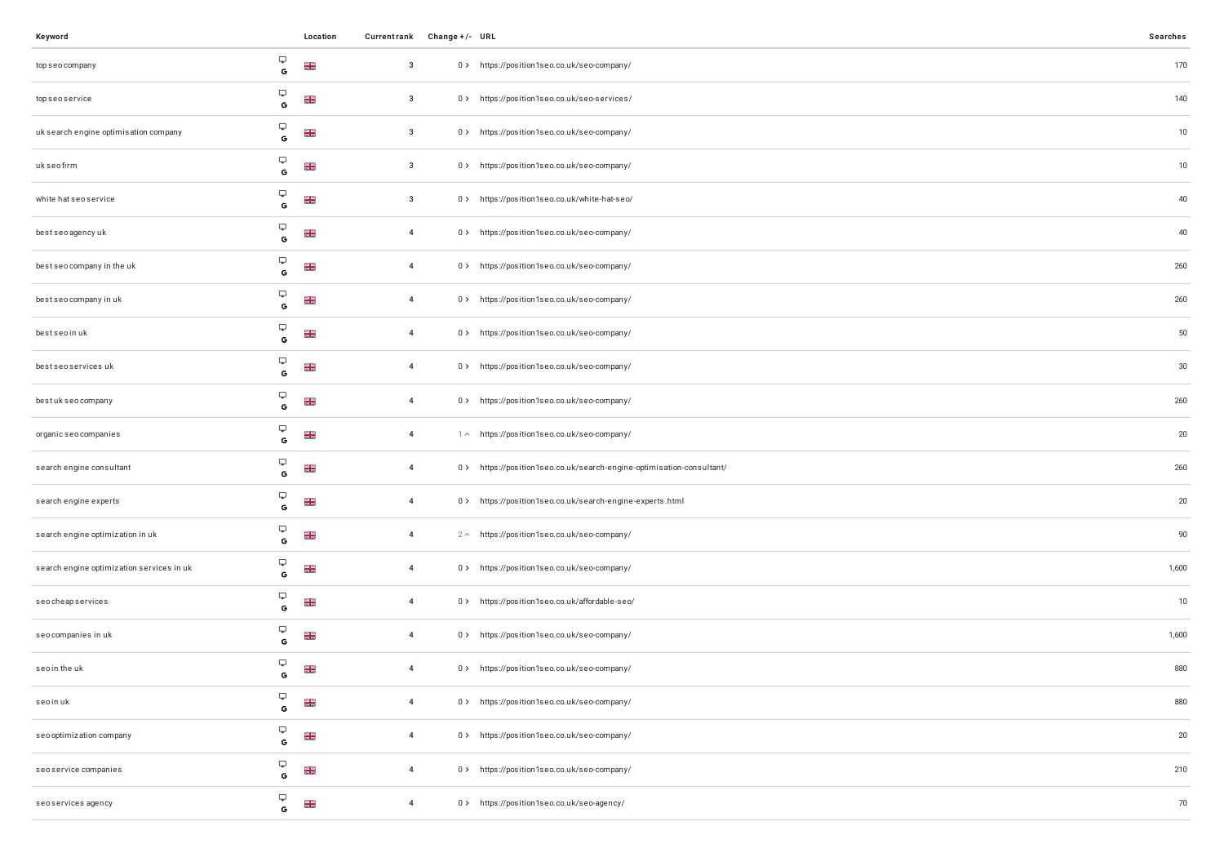| Keyword                                   |                                                               | Location        | Currentrank Change +/- URL |                                                                       | Searches |
|-------------------------------------------|---------------------------------------------------------------|-----------------|----------------------------|-----------------------------------------------------------------------|----------|
| top seo company                           | $\hbox{\large \bf \Box}$<br>$\mathbb{G}$                      | $\frac{2}{5}$   | $\overline{\mathbf{3}}$    | 0 > https://position1seo.co.uk/seo-company/                           | 170      |
| topseoservice                             | $\hbox{\large \ensuremath{\bigtriangledown}}$<br>$\mathbf{G}$ | <b>NK</b><br>NK | $\overline{\mathbf{3}}$    | 0 > https://position1seo.co.uk/seo-services/                          | 140      |
| uk search engine optimisation company     | $\hbox{\large \bf \Box}$<br>$\mathbf G$                       | <b>NK</b><br>NK | $\overline{3}$             | 0> https://position1seo.co.uk/seo-company/                            | 10       |
| ukseofirm                                 | $\hbox{\large \bf \Box}$<br>$\mathbb{G}$                      | <b>NK</b><br>NK | $\overline{\mathbf{3}}$    | 0> https://position1seo.co.uk/seo-company/                            | 10       |
| white hat seo service                     | $\hbox{\large \bf \Box}$<br>$\mathbb{G}$                      | <b>NK</b><br>NK | $\overline{\mathbf{3}}$    | 0> https://position1seo.co.uk/white-hat-seo/                          | 40       |
| bestseoagencyuk                           | $\hfill \Box$<br>$\mathbf G$                                  | <b>NK</b>       | $\overline{4}$             | 0> https://position1seo.co.uk/seo-company/                            | 40       |
| best seo company in the uk                | $\hbox{\large \bf \Box}$<br>$\mathbb{G}$                      | $\frac{2}{5}$   | $\overline{4}$             | 0> https://position1seo.co.uk/seo-company/                            | 260      |
| best seo company in uk                    | $\hbox{\large \ensuremath{\bigtriangledown}}$<br>$\mathbf{G}$ | <b>NK</b><br>NK | $\overline{4}$             | 0> https://position1seo.co.uk/seo-company/                            | 260      |
| bestseoinuk                               | $\hbox{\large \ensuremath{\bigtriangledown}}$<br>$\mathbb{G}$ | <b>NE</b>       | $\overline{4}$             | 0> https://position1seo.co.uk/seo-company/                            | 50       |
| best seo services uk                      | $\hbox{\large \ensuremath{\bigtriangledown}}$<br>$\mathsf{G}$ | <b>NK</b><br>NK | $\overline{4}$             | 0 > https://position1seo.co.uk/seo-company/                           | $30\,$   |
| bestukseo company                         | $\hbox{\large \bf \Box}$<br>G                                 | <b>NK</b><br>NK | $\overline{4}$             | 0> https://position1seo.co.uk/seo-company/                            | 260      |
| organic seo companies                     | $\hbox{\large \bf \Box}$<br>$\mathbf{G}$                      | <b>NK</b><br>NK | $\overline{4}$             | 1 ~ https://position1seo.co.uk/seo-company/                           | $20\,$   |
| search engine consultant                  | $\hbox{\large \bf \Box}$<br>G                                 | $\frac{2}{5}$   | $\overline{4}$             | 0 > https://position1seo.co.uk/search-engine-optimisation-consultant/ | 260      |
| search engine experts                     | $\hbox{\large \bf \Box}$<br>$\mathbf G$                       | <b>NK</b>       | $\overline{4}$             | 0> https://position1seo.co.uk/search-engine-experts.html              | 20       |
| search engine optimization in uk          | $\hfill \Box$<br>G                                            | <b>NK</b><br>NK | $\overline{4}$             | 2 ^ https://position1seo.co.uk/seo-company/                           | 90       |
| search engine optimization services in uk | $\hbox{\large \ensuremath{\bigtriangledown}}$<br>$\mathbf G$  | <b>NK</b><br>NK | $\overline{4}$             | 0> https://position1seo.co.uk/seo-company/                            | 1,600    |
| seocheapservices                          | $\hbox{\large \bf \Box}$<br>G                                 | <b>NK</b>       | $\overline{4}$             | 0 > https://position1seo.co.uk/affordable-seo/                        | 10       |
| seo companies in uk                       | $\hbox{\large \bf \Box}$<br>$\mathbf G$                       | <b>NK</b><br>NK | $\overline{4}$             | 0 > https://position1seo.co.uk/seo-company/                           | 1,600    |
| seoin the uk                              | $\hbox{\large \bf \Box}$<br>G                                 | <b>NK</b>       | $\overline{4}$             | 0> https://position1seo.co.uk/seo-company/                            | 880      |
| seoinuk                                   | Q<br>$\mathbf G$                                              | $\frac{2}{5}$   | $\overline{4}$             | 0> https://position1seo.co.uk/seo-company/                            | 880      |
| seo optimization company                  | $\hbox{\large \ensuremath{\bigtriangledown}}$<br>G            | <b>NK</b><br>NK | $\overline{4}$             | 0> https://position1seo.co.uk/seo-company/                            | 20       |
| seoservice companies                      | $\hbox{\large \ensuremath{\bigtriangledown}}$<br>$\mathbf G$  | <b>NE</b>       | $\overline{4}$             | 0> https://position1seo.co.uk/seo-company/                            | 210      |
| seoservices agency                        | Q<br>G                                                        | <b>NE</b>       | $\overline{4}$             | 0 > https://position1seo.co.uk/seo-agency/                            | 70       |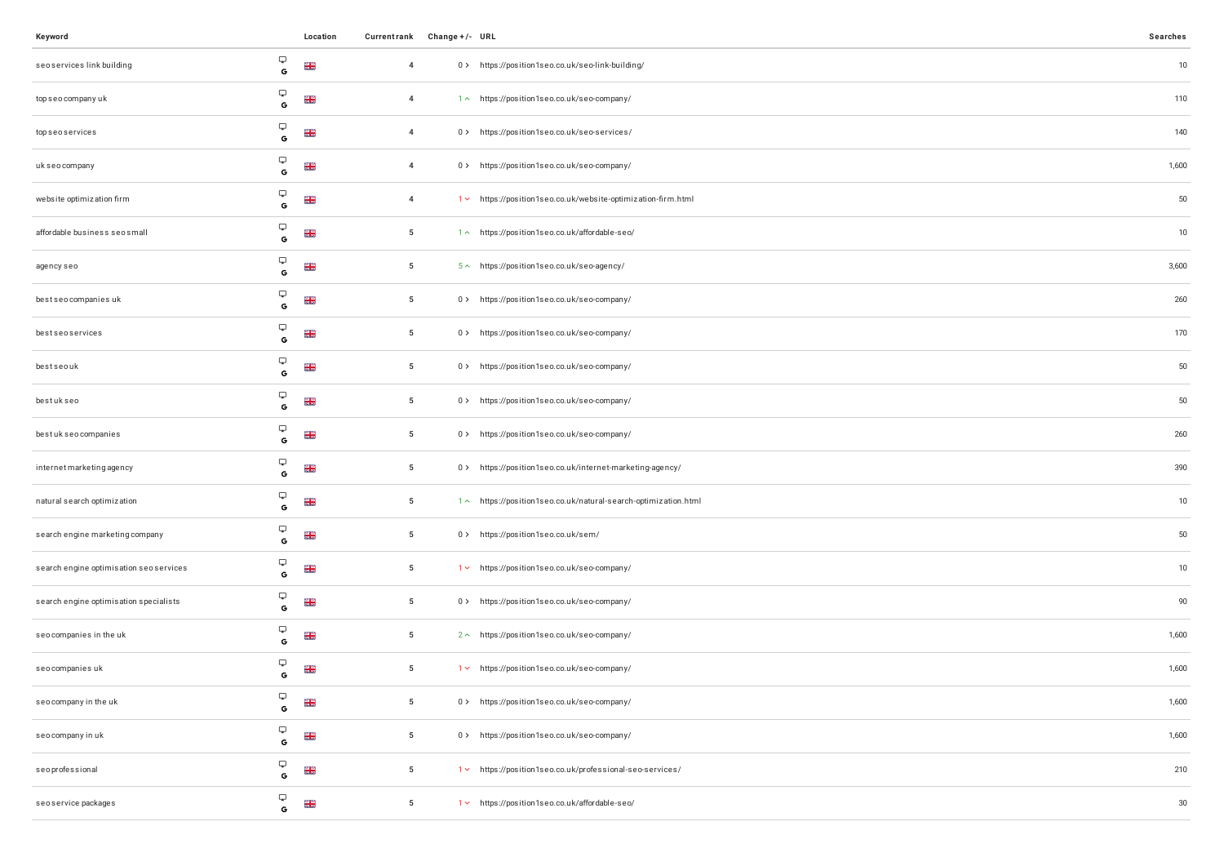| Keyword                                 |                                                               | Location        |                 | Currentrank Change +/- URL |                                                                 | Searches |
|-----------------------------------------|---------------------------------------------------------------|-----------------|-----------------|----------------------------|-----------------------------------------------------------------|----------|
| seoservices link building               | Ç<br>G                                                        | <b>NK</b><br>NK | $\overline{4}$  |                            | 0> https://position1seo.co.uk/seo-link-building/                | 10       |
| top seo company uk                      | Ç<br>$\mathbb{G}$                                             | <b>NK</b>       | $\overline{4}$  |                            | 1 ~ https://position1seo.co.uk/seo-company/                     | 110      |
| top seo services                        | $\hbox{\large \bf \large \Box}$<br>$\mathbb{G}$               | <b>NK</b><br>NK | $\overline{4}$  |                            | 0> https://position1seo.co.uk/seo-services/                     | 140      |
| uk seo company                          | Ç<br>$\mathbf G$                                              | <b>NK</b><br>NK | $\overline{4}$  |                            | 0 > https://position1seo.co.uk/seo-company/                     | 1,600    |
| website optimization firm               | Ç<br>$\mathsf G$                                              | $\frac{2}{5}$   | $\overline{4}$  |                            | 1 v https://position1seo.co.uk/website-optimization-firm.html   | 50       |
| affordable business seosmall            | Ç<br>$\mathbf G$                                              | <b>NK</b><br>NK | $5\phantom{.0}$ |                            | 1 ~ https://position1seo.co.uk/affordable-seo/                  | 10       |
| agency seo                              | Ç<br>$\mathsf{G}$                                             | <b>NK</b><br>NK | $5\phantom{.0}$ |                            | 5^ https://position1seo.co.uk/seo-agency/                       | 3,600    |
| best seo companies uk                   | Ç<br>$\mathbb{G}$                                             | <b>NK</b><br>NK | $5\phantom{.0}$ |                            | 0 > https://position1seo.co.uk/seo-company/                     | 260      |
| bestseoservices                         | $\hbox{\large \ensuremath{\bigtriangledown}}$<br>$\mathsf{G}$ | <b>NK</b><br>NK | $5\phantom{.0}$ |                            | 0> https://position1seo.co.uk/seo-company/                      | 170      |
| bestseouk                               | پ<br>G                                                        | <b>NE</b>       | $5\phantom{.0}$ |                            | 0 > https://position1seo.co.uk/seo-company/                     | 50       |
| bestukseo                               | Ç<br>$\mathbb{G}$                                             | <b>NK</b><br>NK | $5\phantom{.0}$ |                            | 0 > https://position1seo.co.uk/seo-company/                     | 50       |
| bestukseo companies                     | Ç<br>$\mathbf G$                                              | <b>NK</b><br>NK | $5\phantom{.0}$ |                            | 0> https://position1seo.co.uk/seo-company/                      | 260      |
| internet marketing agency               | Ç<br>G                                                        | <b>NE</b>       | $5\phantom{.0}$ |                            | 0> https://position1seo.co.uk/internet-marketing-agency/        | 390      |
| natural search optimization             | Ç<br>$\mathbf G$                                              | <b>NK</b><br>NK | $5\phantom{.0}$ |                            | 1 ~ https://position1seo.co.uk/natural-search-optimization.html | 10       |
| search engine marketing company         | $\hbox{\large \bf \Box}$<br>G                                 | <b>NK</b>       | $5\phantom{.0}$ |                            | 0 > https://position1seo.co.uk/sem/                             | 50       |
| search engine optimisation seo services | Ç<br>$\mathbf G$                                              | <b>NK</b>       | $5\overline{5}$ |                            | 1 v https://position1seo.co.uk/seo-company/                     | 10       |
| search engine optimisation specialists  | Ç<br>G                                                        | <b>NK</b><br>NK | $5\phantom{.0}$ |                            | 0 > https://position1seo.co.uk/seo-company/                     | 90       |
| seocompanies in the uk                  | Ç<br>$\mathbf G$                                              | <b>NK</b>       | $5\phantom{.0}$ |                            | 2 ~ https://position1seo.co.uk/seo-company/                     | 1,600    |
| seo companies uk                        | Ç<br>G                                                        | <b>NK</b>       | $5\phantom{.0}$ |                            | 1 v https://position1seo.co.uk/seo-company/                     | 1,600    |
| seo company in the uk                   | Ç<br>$\mathbf G$                                              | <b>NK</b><br>NK | $5\phantom{.0}$ |                            | 0 > https://position1seo.co.uk/seo-company/                     | 1,600    |
| seo company in uk                       | Ç<br>G                                                        | <b>NE</b>       | $5\phantom{.0}$ |                            | 0 > https://position1seo.co.uk/seo-company/                     | 1,600    |
| seoprofessional                         | Ç<br>$\mathbf G$                                              | <b>NK</b><br>NK | $5\phantom{.0}$ |                            | 1v https://position1seo.co.uk/professional-seo-services/        | 210      |
| seo service packages                    | Ç<br>$\mathsf{G}$                                             | <b>NE</b>       | $5\phantom{.0}$ |                            | 1 v https://position1seo.co.uk/affordable-seo/                  | 30       |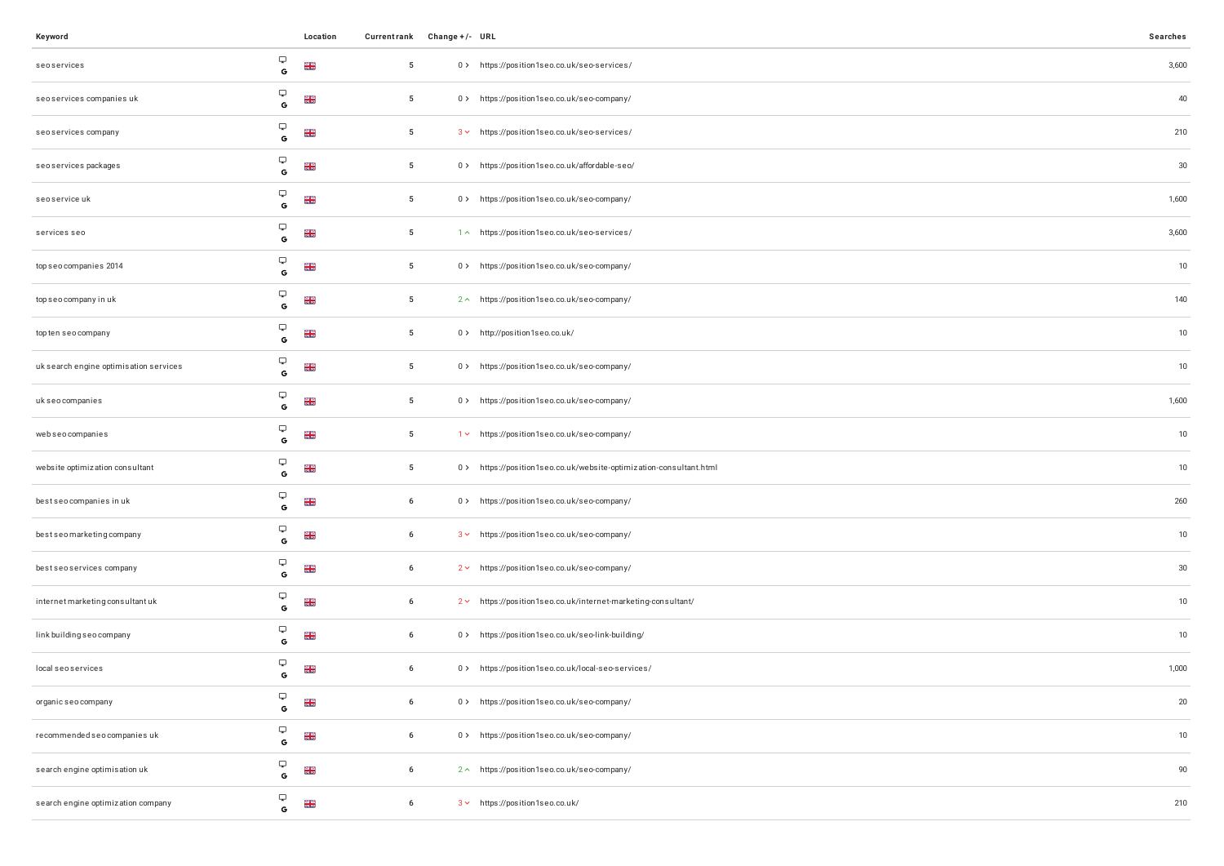| Keyword                                |                                                               | Location        | Currentrank Change +/- URL |                                                                    | Searches |
|----------------------------------------|---------------------------------------------------------------|-----------------|----------------------------|--------------------------------------------------------------------|----------|
| seoservices                            | Ç<br>$\mathbb{G}$                                             | <b>NK</b><br>NK | $5\phantom{.0}$            | 0> https://position1seo.co.uk/seo-services/                        | 3,600    |
| seo services companies uk              | Ç<br>$\mathbf{G}$                                             | <b>NK</b><br>NK | 5                          | 0 > https://position1seo.co.uk/seo-company/                        | 40       |
| seoservices company                    | $\hbox{\large \ensuremath{\bigtriangledown}}$<br>$\mathsf{G}$ | <b>NE</b>       | $5\overline{5}$            | 3 v https://position1seo.co.uk/seo-services/                       | 210      |
| seoservices packages                   | $\hbox{\large \ensuremath{\bigtriangledown}}$<br>$\mathbf G$  | <b>NK</b><br>NK | $5\phantom{.0}$            | 0 > https://position1seo.co.uk/affordable-seo/                     | 30       |
| seoservice uk                          | Ç<br>$\mathsf G$                                              | <b>NK</b><br>NK | $5\phantom{.0}$            | 0> https://position1seo.co.uk/seo-company/                         | 1,600    |
| services seo                           | Ç<br>$\mathbf G$                                              | <b>NK</b><br>NK | $5\phantom{.0}$            | 1^ https://position1seo.co.uk/seo-services/                        | 3,600    |
| top seo companies 2014                 | Ç<br>$\mathbb{G}$                                             | <b>NK</b><br>NK | $5\phantom{.0}$            | 0 > https://position1seo.co.uk/seo-company/                        | 10       |
| top seo company in uk                  | Ç<br>$\mathbf G$                                              | <b>NK</b>       | $5\phantom{.0}$            | 2 ~ https://position1seo.co.uk/seo-company/                        | 140      |
| top ten seo company                    | $\hbox{\large \bf \large \Box}$<br>$\mathbb{G}$               | <b>NE</b>       | $5\phantom{.0}$            | 0 > http://position1seo.co.uk/                                     | 10       |
| uk search engine optimisation services | ្ច<br>G                                                       | <b>NK</b><br>NK | $5\phantom{.0}$            | 0 > https://position1seo.co.uk/seo-company/                        | 10       |
| uk seo companies                       | Ç<br>$\mathsf G$                                              | <b>NK</b>       | $5\phantom{.0}$            | 0> https://position1seo.co.uk/seo-company/                         | 1,600    |
| webseocompanies                        | Ç<br>$\mathbf G$                                              | <b>NK</b><br>NK | 5                          | 1 v https://position1seo.co.uk/seo-company/                        | 10       |
| website optimization consultant        | Ç<br>$\mathsf{G}$                                             | <b>NK</b><br>NK | $5\phantom{.0}$            | 0> https://position1seo.co.uk/website-optimization-consultant.html | 10       |
| best seo companies in uk               | Ç<br>$\mathbf G$                                              | <b>NK</b><br>NK | 6                          | 0> https://position1seo.co.uk/seo-company/                         | 260      |
| bestseomarketing company               | $\hbox{\large \ensuremath{\bigtriangledown}}$<br>G            | <b>NK</b><br>NK | 6                          | 3 v https://position1seo.co.uk/seo-company/                        | 10       |
| best seo services company              | $\hbox{\large \ensuremath{\bigtriangledown}}$<br>$\mathbf G$  | <b>NE</b>       | 6                          | 2 v https://position1seo.co.uk/seo-company/                        | 30       |
| internet marketing consultant uk       | Ç<br>G                                                        | <b>NK</b><br>NK | 6                          | 2 v https://position1seo.co.uk/internet-marketing-consultant/      | 10       |
| link building seo company              | Ç<br>$\mathbf{G}$                                             | $\frac{2}{5}$   | 6                          | 0> https://position1seo.co.uk/seo-link-building/                   | 10       |
| local seo services                     | Ç<br>G                                                        | $\frac{N}{N}$   | 6                          | 0> https://position1seo.co.uk/local-seo-services/                  | 1,000    |
| organic seo company                    | Ç<br>G                                                        | $\frac{2}{2}$   | 6                          | 0 > https://position1seo.co.uk/seo-company/                        | 20       |
| recommended seo companies uk           | $\hbox{\large \bf \Box}$<br>G                                 | $\frac{2}{2}$   | 6                          | 0 > https://position1seo.co.uk/seo-company/                        | 10       |
| search engine optimisation uk          | $\hfill \Box$<br>$\mathbf G$                                  | <b>NE</b>       | 6                          | 2 ~ https://position1seo.co.uk/seo-company/                        | 90       |
| search engine optimization company     | Ç<br>G                                                        | <b>NK</b>       | 6                          | 3 v https://position1seo.co.uk/                                    | 210      |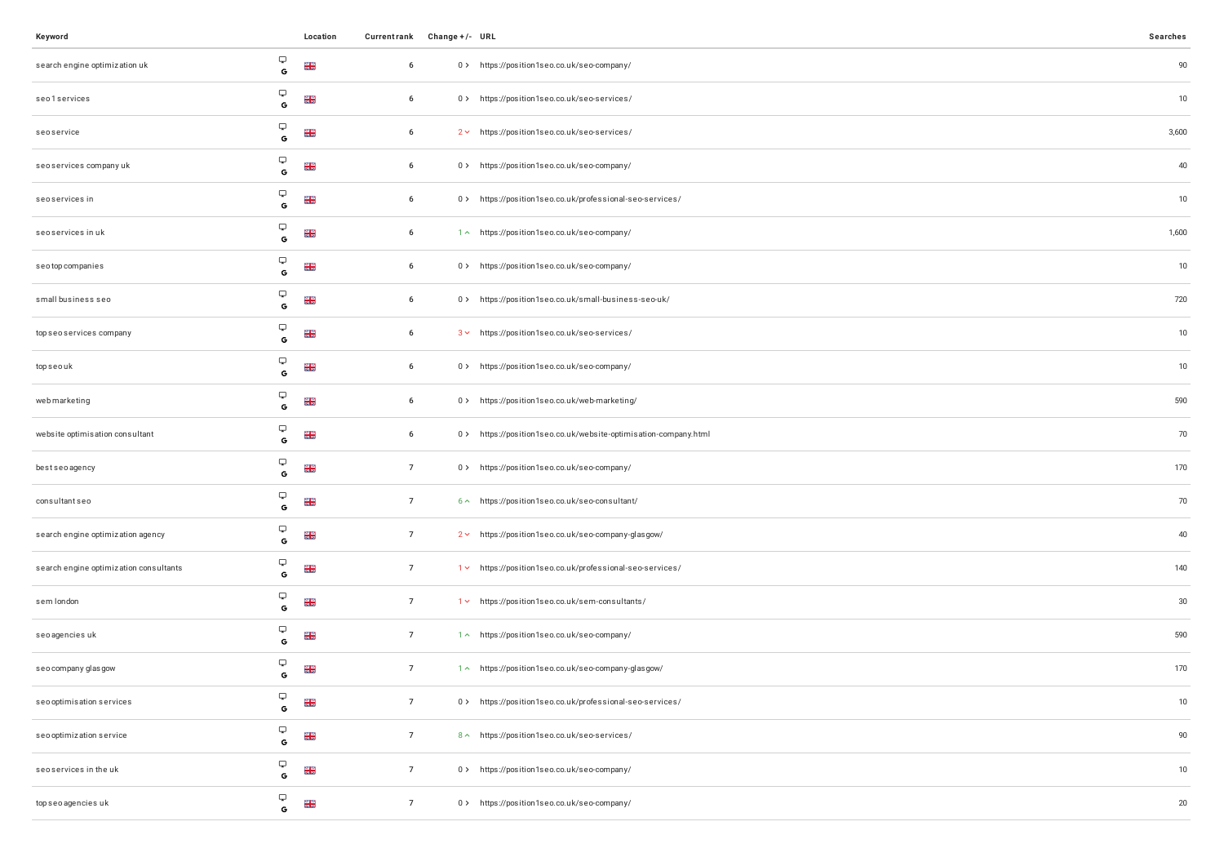| Keyword                                |                   | Location        |                 | Currentrank Change +/- URL |                                                                  | Searches |
|----------------------------------------|-------------------|-----------------|-----------------|----------------------------|------------------------------------------------------------------|----------|
| search engine optimization uk          | Ç<br>$\mathbb{G}$ | $\frac{N}{N}$   | 6               |                            | 0 > https://position1seo.co.uk/seo-company/                      | $90\,$   |
| seo1services                           | Ç<br>$\mathbf G$  | <b>NR</b>       | 6               |                            | 0> https://position1seo.co.uk/seo-services/                      | 10       |
| seoservice                             | Ç<br>G            | $\frac{N}{N}$   | 6               |                            | 2 v https://position1seo.co.uk/seo-services/                     | 3,600    |
| seoservices company uk                 | Ç<br>$\mathbf G$  | $\frac{N}{N}$   | 6               |                            | 0 > https://position1seo.co.uk/seo-company/                      | 40       |
| seoservices in                         | Ç<br>G            | <b>NK</b>       | 6               |                            | 0> https://position1seo.co.uk/professional-seo-services/         | 10       |
| seoservices in uk                      | Ç<br>$\mathbf G$  | <b>NK</b><br>NK | 6               |                            | 1 ~ https://position1seo.co.uk/seo-company/                      | 1,600    |
| seotop companies                       | Ç<br>G            | $\frac{N}{N}$   | 6               |                            | 0 > https://position1seo.co.uk/seo-company/                      | 10       |
| small business seo                     | Ç<br>$\mathbf G$  | $\frac{N}{N}$   | 6               |                            | 0> https://position1seo.co.uk/small-business-seo-uk/             | 720      |
| top seo services company               | Ç<br>G            | <b>NK</b><br>NK | 6               |                            | 3 v https://position1seo.co.uk/seo-services/                     | 10       |
| topseouk                               | Q<br>$\mathbf{G}$ | <b>NK</b>       | $6\phantom{.0}$ |                            | 0 > https://position1seo.co.uk/seo-company/                      | 10       |
| webmarketing                           | Ç<br>G            | <b>NN</b><br>NN | 6               |                            | 0> https://position1seo.co.uk/web-marketing/                     | 590      |
| website optimisation consultant        | Ç<br>$\mathbf G$  | <b>NK</b><br>NK | 6               |                            | 0 > https://position1seo.co.uk/website-optimisation-company.html | $70\,$   |
| bestseoagency                          | Ç<br>G            | <b>NK</b>       | $\overline{7}$  |                            | 0 > https://position1seo.co.uk/seo-company/                      | 170      |
| consultant seo                         | Ç<br>$\mathbf G$  | $\frac{N}{N}$   | $\overline{7}$  |                            | 6 ~ https://position1seo.co.uk/seo-consultant/                   | 70       |
| search engine optimization agency      | Ç<br>G            | <b>NK</b>       | $\overline{7}$  |                            | 2 v https://position1seo.co.uk/seo-company-glasgow/              | 40       |
| search engine optimization consultants | Ç<br>$\mathbf G$  | <b>NN</b><br>NN | $\overline{7}$  |                            | 1 v https://position1seo.co.uk/professional-seo-services/        | 140      |
| sem london                             | Ç<br>G            | $\frac{N}{N}$   | $\overline{7}$  |                            | 1v https://position1seo.co.uk/sem-consultants/                   | $30\,$   |
| seo agencies uk                        | Ç<br>$\mathbf G$  | <b>NK</b>       | $\overline{7}$  |                            | 1^ https://position1seo.co.uk/seo-company/                       | 590      |
| seo company glasgow                    | Ç<br>G            | <b>NK</b>       | $\overline{7}$  |                            | 1^ https://position1seo.co.uk/seo-company-glasgow/               | 170      |
| seo optimisation services              | Ç<br>$\mathbf G$  | $\frac{N}{N}$   | $\overline{7}$  |                            | 0> https://position1seo.co.uk/professional-seo-services/         | $10$     |
| seo optimization service               | Ç<br>G            | <b>NR</b>       | $\overline{7}$  |                            | 8 ^ https://position1seo.co.uk/seo-services/                     | 90       |
| seoservices in the uk                  | Ç<br>$\mathbf G$  | $\frac{N}{N}$   | $\overline{7}$  |                            | 0> https://position1seo.co.uk/seo-company/                       | 10       |
| top seo agencies uk                    | Ç<br>$\mathsf G$  | <b>NR</b>       | $\overline{7}$  |                            | 0 > https://position1seo.co.uk/seo-company/                      | $20\,$   |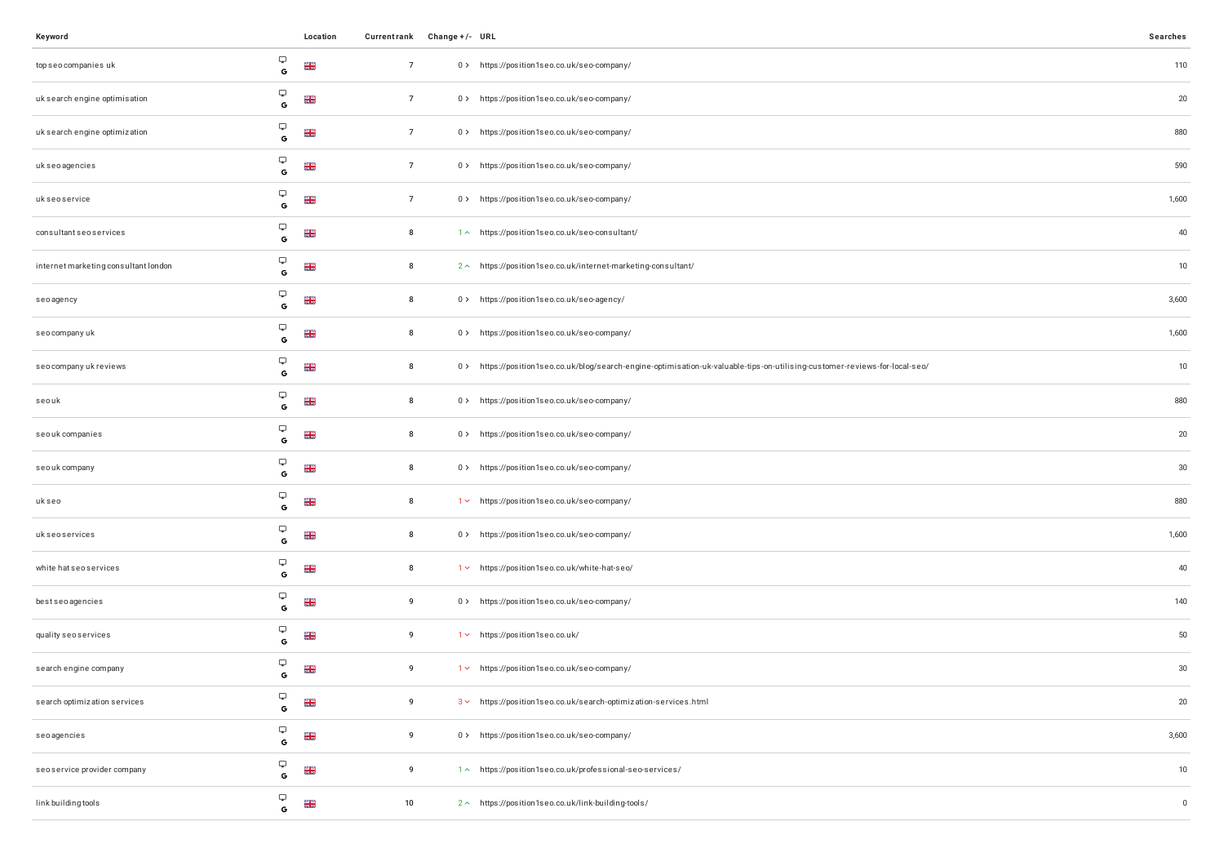| Keyword                              |                   | Location        | Currentrank Change +/- URL |                                                                                                                             | Searches    |
|--------------------------------------|-------------------|-----------------|----------------------------|-----------------------------------------------------------------------------------------------------------------------------|-------------|
| top seo companies uk                 | Ç<br>G            | $\frac{N}{N}$   | $\overline{7}$             | 0 > https://position1seo.co.uk/seo-company/                                                                                 | 110         |
| uk search engine optimisation        | Ç<br>G            | <b>NK</b><br>NK | $\overline{7}$             | 0> https://position1seo.co.uk/seo-company/                                                                                  | $20\,$      |
| uk search engine optimization        | Ç<br>$\mathsf G$  | <b>NN</b><br>NN | $\overline{7}$             | 0> https://position1seo.co.uk/seo-company/                                                                                  | 880         |
| uk seo agencies                      | Ç<br>$\mathbf G$  | $\frac{N}{N}$   | $\overline{7}$             | 0 > https://position1seo.co.uk/seo-company/                                                                                 | 590         |
| ukseoservice                         | Ç<br>G            | <b>NK</b><br>NK | $\overline{7}$             | 0> https://position1seo.co.uk/seo-company/                                                                                  | 1,600       |
| consultant seo services              | Ç<br>$\mathbb{G}$ | <b>NK</b>       | 8                          | 1 ~ https://position1seo.co.uk/seo-consultant/                                                                              | 40          |
| internet marketing consultant london | Ç<br>G            | $\frac{N}{N}$   | 8                          | 2 ^ https://position1seo.co.uk/internet-marketing-consultant/                                                               | 10          |
| seoagency                            | Ç<br>$\mathbf G$  | <b>NK</b><br>NK | 8                          | 0 > https://position1seo.co.uk/seo-agency/                                                                                  | 3,600       |
| seo company uk                       | Q<br>G            | <b>NK</b>       | 8                          | 0 > https://position1seo.co.uk/seo-company/                                                                                 | 1,600       |
| seo company uk reviews               | Ç<br>$\mathbf G$  | $\frac{N}{N}$   | 8                          | 0> https://position1seo.co.uk/blog/search-engine-optimisation-uk-valuable-tips-on-utilising-customer-reviews-for-local-seo/ | 10          |
| seouk                                | Ç<br>G            | <b>NK</b><br>NK | 8                          | 0> https://position1seo.co.uk/seo-company/                                                                                  | 880         |
| seouk companies                      | Ç<br>$\mathbf G$  | <b>NR</b>       | 8                          | 0 > https://position1seo.co.uk/seo-company/                                                                                 | $20\,$      |
| seouk company                        | Ç<br>G            | <b>NN</b><br>NN | 8                          | 0> https://position1seo.co.uk/seo-company/                                                                                  | $30\,$      |
| ukseo                                | Ç<br>$\mathbf G$  | <b>NR</b>       | 8                          | 1 v https://position1seo.co.uk/seo-company/                                                                                 | 880         |
| uk seo services                      | Ç<br>G            | <b>NN</b><br>NN | 8                          | 0> https://position1seo.co.uk/seo-company/                                                                                  | 1,600       |
| white hat seo services               | Ç<br>$\mathbf G$  | <b>NN</b><br>NN | 8                          | 1 v https://position1seo.co.uk/white-hat-seo/                                                                               | 40          |
| bestseoagencies                      | Ç<br>G            | <b>NK</b>       | 9                          | 0> https://position1seo.co.uk/seo-company/                                                                                  | 140         |
| quality seoservices                  | Ç<br>G            | $\frac{N}{N}$   | 9                          | 1 v https://position1seo.co.uk/                                                                                             | 50          |
| search engine company                | Ç<br>G            | <b>NK</b>       | 9                          | 1 v https://position1seo.co.uk/seo-company/                                                                                 | 30          |
| search optimization services         | Ç<br>G            | <b>NN</b><br>NN | 9                          | 3 v https://position1seo.co.uk/search-optimization-services.html                                                            | $20\,$      |
| seoagencies                          | Ç<br>G            | <b>NK</b><br>NK | 9                          | 0 > https://position1seo.co.uk/seo-company/                                                                                 | 3,600       |
| seoservice provider company          | Ç<br>$\mathbf G$  | <b>NR</b>       | 9                          | 1 ~ https://position1seo.co.uk/professional-seo-services/                                                                   | 10          |
| link building tools                  | Ç<br>G            | <b>NR</b>       | 10                         | 2 ^ https://position1seo.co.uk/link-building-tools/                                                                         | $\mathbb O$ |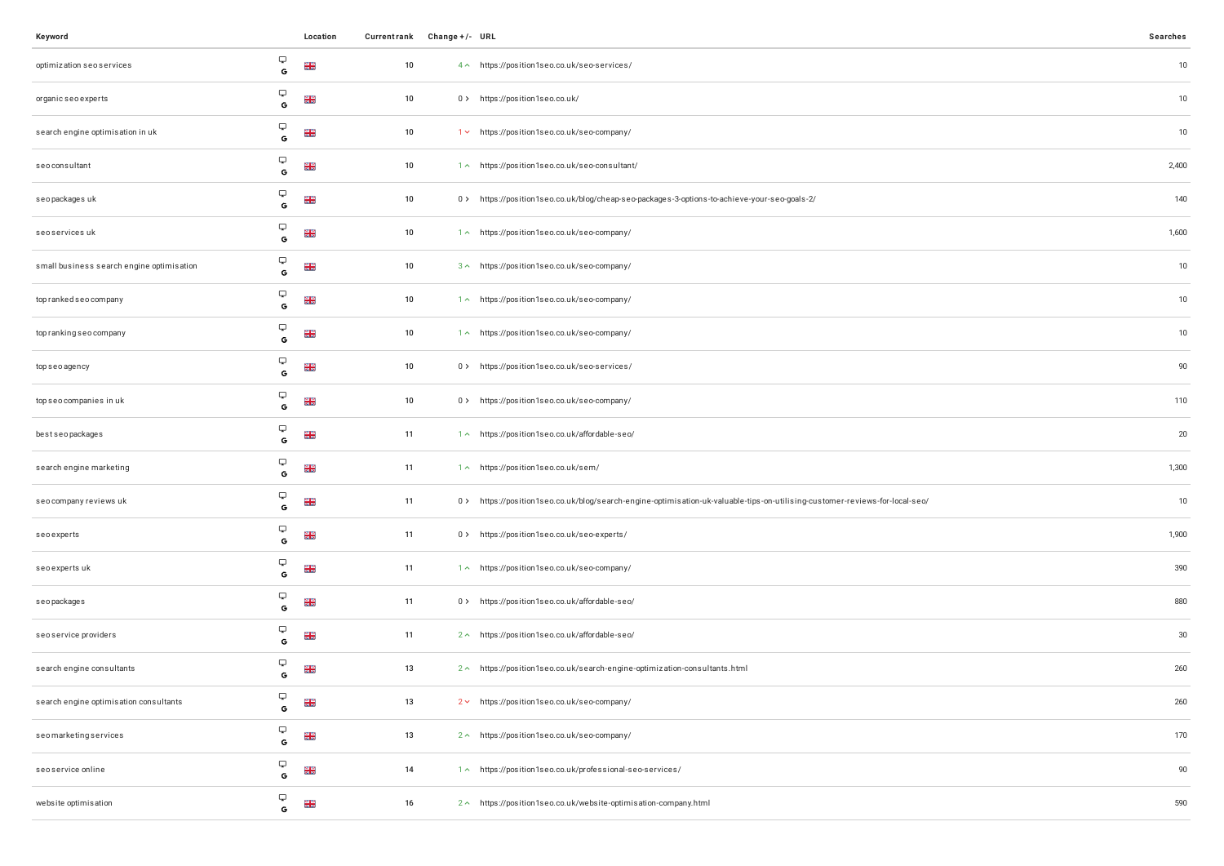| Keyword                                   |                               | Location             | Currentrank Change +/- URL |                                                                                                                             | Searches |
|-------------------------------------------|-------------------------------|----------------------|----------------------------|-----------------------------------------------------------------------------------------------------------------------------|----------|
| optimization seo services                 | Ç<br>G                        | <b>NK</b>            | 10                         | 4 ^ https://position1seo.co.uk/seo-services/                                                                                | $10$     |
| organic seo experts                       | Ç<br>G                        | $\frac{2}{5}$        | 10                         | 0 > https://position1seo.co.uk/                                                                                             | $10$     |
| search engine optimisation in uk          | Ç<br>G                        | <b>NR</b><br>NR      | 10                         | 1 v https://position1seo.co.uk/seo-company/                                                                                 | $10\,$   |
| seoconsultant                             | Ç<br>$\mathbf G$              | $\frac{2}{5}$        | 10                         | 1^ https://position1seo.co.uk/seo-consultant/                                                                               | 2,400    |
| seopackages uk                            | Ç<br>G                        | $\frac{2}{5}$        | 10                         | 0> https://position1seo.co.uk/blog/cheap-seo-packages-3-options-to-achieve-your-seo-goals-2/                                | 140      |
| seoservices uk                            | Ç<br>$\mathbf G$              | <b>NK</b>            | 10                         | 1 ~ https://position1seo.co.uk/seo-company/                                                                                 | 1,600    |
| small business search engine optimisation | Ç<br>G                        | $\frac{2}{5}$        | 10                         | 3 ^ https://position1seo.co.uk/seo-company/                                                                                 | $10$     |
| top ranked seo company                    | Ç<br>$\mathbf G$              | <b>N<br/>N<br/>N</b> | 10                         | 1^ https://position1seo.co.uk/seo-company/                                                                                  | 10       |
| top ranking seo company                   | Ç<br>G                        | <b>NK</b>            | 10                         | 1 ~ https://position1seo.co.uk/seo-company/                                                                                 | $10$     |
| topseoagency                              | Ç<br>$\mathbf{G}$             | $\frac{2}{5}$        | 10                         | 0> https://position1seo.co.uk/seo-services/                                                                                 | 90       |
| top seo companies in uk                   | Ç<br>G                        | $\frac{2}{5}$        | 10                         | 0 > https://position1seo.co.uk/seo-company/                                                                                 | 110      |
| bestseopackages                           | Ç<br>$\mathbf G$              | <b>NK</b>            | 11                         | 1 ~ https://position1seo.co.uk/affordable-seo/                                                                              | 20       |
| search engine marketing                   | Ç<br>G                        | <b>NR</b><br>NR      | 11                         | 1^ https://position1seo.co.uk/sem/                                                                                          | 1,300    |
| seo company reviews uk                    | Ç<br>$\mathbf G$              | <b>NK</b>            | 11                         | 0> https://position1seo.co.uk/blog/search-engine-optimisation-uk-valuable-tips-on-utilising-customer-reviews-for-local-seo/ | $10$     |
| seoexperts                                | Ç<br>G                        | <b>NR</b><br>NR      | 11                         | 0> https://position1seo.co.uk/seo-experts/                                                                                  | 1,900    |
| seo experts uk                            | Ç<br>$\mathbf G$              | $\frac{2}{5}$        | 11                         | 1 ~ https://position1seo.co.uk/seo-company/                                                                                 | 390      |
| seopackages                               | Ç<br>G                        | $\frac{N}{N}$        | 11                         | 0> https://position1seo.co.uk/affordable-seo/                                                                               | 880      |
| seo service providers                     | Ç<br>G                        | $\frac{N}{N}$        | 11                         | 2 ^ https://position1seo.co.uk/affordable-seo/                                                                              | $30\,$   |
| search engine consultants                 | Ç<br>G                        | $\frac{28}{28}$      | 13                         | 2 ^ https://position1seo.co.uk/search-engine-optimization-consultants.html                                                  | 260      |
| search engine optimisation consultants    | Ç<br>$\mathbf G$              | $\frac{2}{5}$        | 13                         | 2 v https://position1seo.co.uk/seo-company/                                                                                 | 260      |
| seomarketingservices                      | $\hbox{\large \bf \Box}$<br>G | <b>NK</b>            | 13                         | 2 ^ https://position1seo.co.uk/seo-company/                                                                                 | 170      |
| seoservice online                         | Ç<br>$\mathbf G$              | <b>NK</b>            | 14                         | 1 ~ https://position1seo.co.uk/professional-seo-services/                                                                   | 90       |
| website optimisation                      | Ç<br>$\mathsf G$              | <b>NK</b>            | 16                         | 2 ^ https://position1seo.co.uk/website-optimisation-company.html                                                            | 590      |